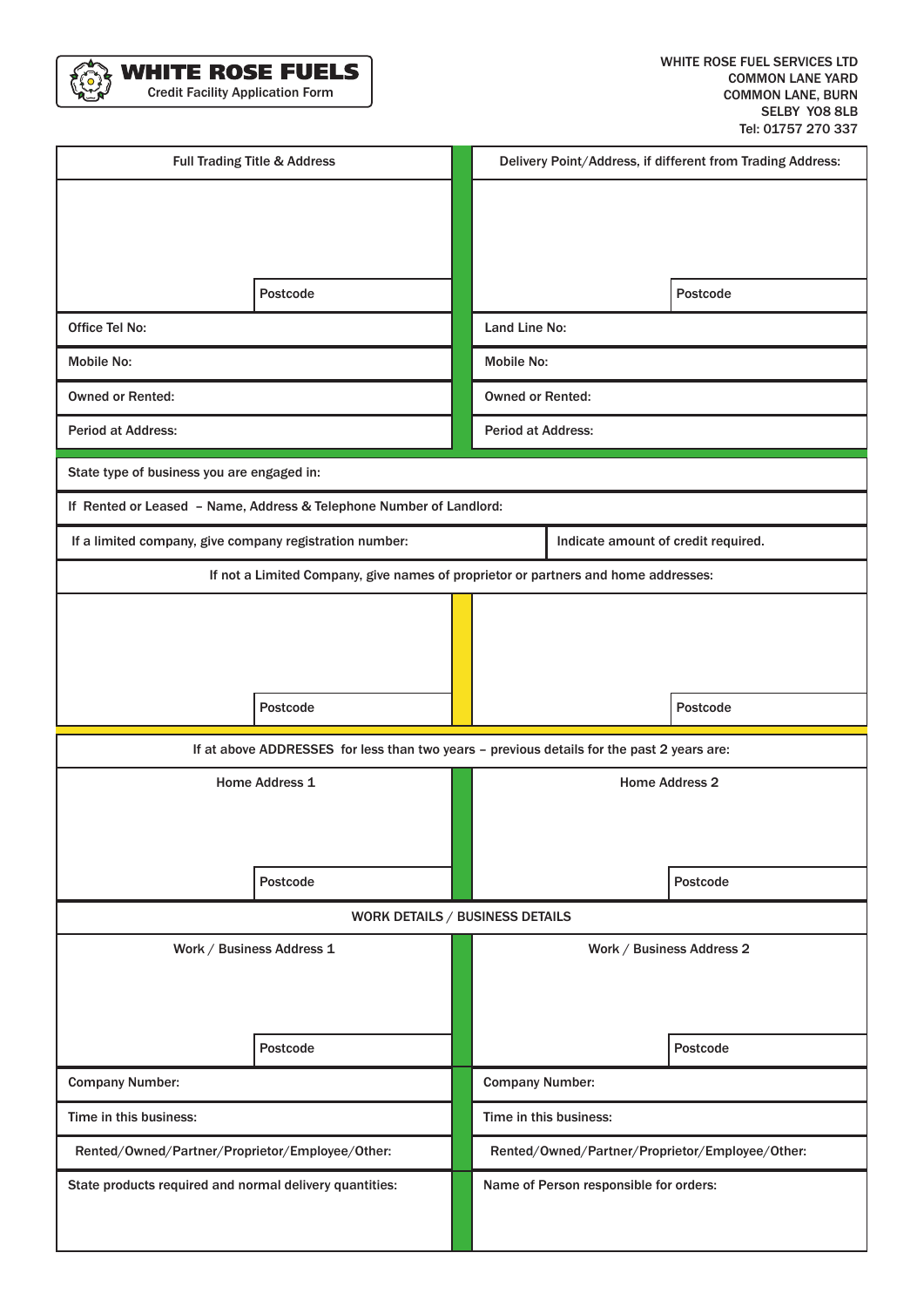

| Full Trading Title & Address                                                               |          |  | Delivery Point/Address, if different from Trading Address: |                           |          |
|--------------------------------------------------------------------------------------------|----------|--|------------------------------------------------------------|---------------------------|----------|
|                                                                                            |          |  |                                                            |                           |          |
|                                                                                            |          |  |                                                            |                           |          |
|                                                                                            |          |  |                                                            |                           |          |
|                                                                                            | Postcode |  |                                                            |                           | Postcode |
| <b>Office Tel No:</b>                                                                      |          |  | Land Line No:                                              |                           |          |
| Mobile No:                                                                                 |          |  | Mobile No:                                                 |                           |          |
| <b>Owned or Rented:</b>                                                                    |          |  | <b>Owned or Rented:</b>                                    |                           |          |
| <b>Period at Address:</b>                                                                  |          |  | <b>Period at Address:</b>                                  |                           |          |
| State type of business you are engaged in:                                                 |          |  |                                                            |                           |          |
| If Rented or Leased - Name, Address & Telephone Number of Landlord:                        |          |  |                                                            |                           |          |
| If a limited company, give company registration number:                                    |          |  | Indicate amount of credit required.                        |                           |          |
| If not a Limited Company, give names of proprietor or partners and home addresses:         |          |  |                                                            |                           |          |
|                                                                                            |          |  |                                                            |                           |          |
|                                                                                            |          |  |                                                            |                           |          |
|                                                                                            |          |  |                                                            |                           |          |
|                                                                                            | Postcode |  |                                                            |                           | Postcode |
| If at above ADDRESSES for less than two years - previous details for the past 2 years are: |          |  |                                                            |                           |          |
| <b>Home Address 1</b>                                                                      |          |  | <b>Home Address 2</b>                                      |                           |          |
|                                                                                            |          |  |                                                            |                           |          |
|                                                                                            |          |  |                                                            |                           |          |
|                                                                                            | Postcode |  |                                                            |                           | Postcode |
| WORK DETAILS / BUSINESS DETAILS                                                            |          |  |                                                            |                           |          |
| Work / Business Address 1                                                                  |          |  |                                                            | Work / Business Address 2 |          |
|                                                                                            |          |  |                                                            |                           |          |
|                                                                                            |          |  |                                                            |                           |          |
|                                                                                            | Postcode |  |                                                            |                           | Postcode |
| <b>Company Number:</b>                                                                     |          |  | <b>Company Number:</b>                                     |                           |          |
| Time in this business:                                                                     |          |  | Time in this business:                                     |                           |          |
| Rented/Owned/Partner/Proprietor/Employee/Other:                                            |          |  | Rented/Owned/Partner/Proprietor/Employee/Other:            |                           |          |
| State products required and normal delivery quantities:                                    |          |  | Name of Person responsible for orders:                     |                           |          |
|                                                                                            |          |  |                                                            |                           |          |
|                                                                                            |          |  |                                                            |                           |          |